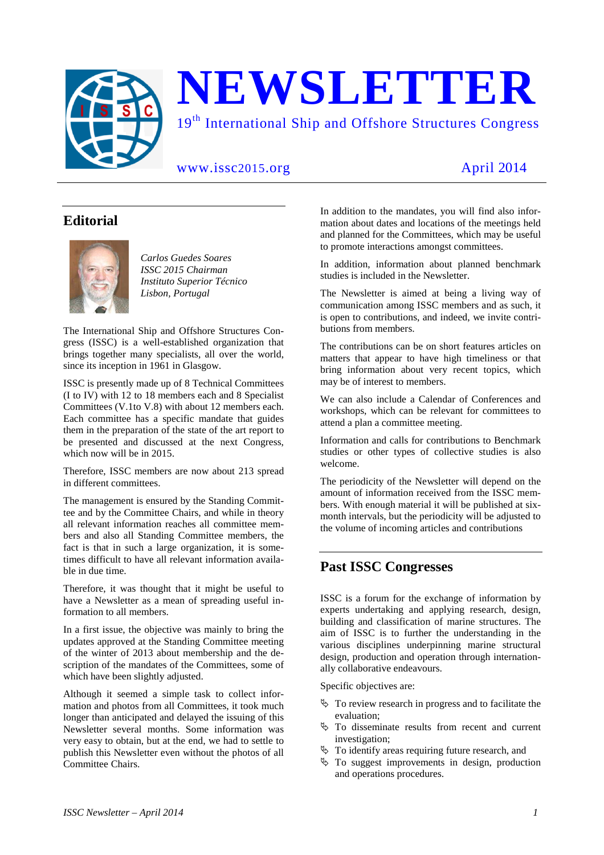

# **Editorial**



*Carlos Guedes Soares ISSC 2015 Chairman Instituto Superior Técnico Lisbon, Portugal* 

The International Ship and Offshore Structures Congress (ISSC) is a well-established organization that brings together many specialists, all over the world, since its inception in 1961 in Glasgow.

ISSC is presently made up of 8 Technical Committees (I to IV) with 12 to 18 members each and 8 Specialist Committees (V.1to V.8) with about 12 members each. Each committee has a specific mandate that guides them in the preparation of the state of the art report to be presented and discussed at the next Congress, which now will be in 2015.

Therefore, ISSC members are now about 213 spread in different committees.

The management is ensured by the Standing Committee and by the Committee Chairs, and while in theory all relevant information reaches all committee members and also all Standing Committee members, the fact is that in such a large organization, it is sometimes difficult to have all relevant information available in due time.

Therefore, it was thought that it might be useful to have a Newsletter as a mean of spreading useful information to all members.

In a first issue, the objective was mainly to bring the updates approved at the Standing Committee meeting of the winter of 2013 about membership and the description of the mandates of the Committees, some of which have been slightly adjusted.

Although it seemed a simple task to collect information and photos from all Committees, it took much longer than anticipated and delayed the issuing of this Newsletter several months. Some information was very easy to obtain, but at the end, we had to settle to publish this Newsletter even without the photos of all Committee Chairs.

In addition to the mandates, you will find also information about dates and locations of the meetings held and planned for the Committees, which may be useful to promote interactions amongst committees.

In addition, information about planned benchmark studies is included in the Newsletter.

The Newsletter is aimed at being a living way of communication among ISSC members and as such, it is open to contributions, and indeed, we invite contributions from members.

The contributions can be on short features articles on matters that appear to have high timeliness or that bring information about very recent topics, which may be of interest to members.

We can also include a Calendar of Conferences and workshops, which can be relevant for committees to attend a plan a committee meeting.

Information and calls for contributions to Benchmark studies or other types of collective studies is also welcome.

The periodicity of the Newsletter will depend on the amount of information received from the ISSC members. With enough material it will be published at sixmonth intervals, but the periodicity will be adjusted to the volume of incoming articles and contributions

# **Past ISSC Congresses**

ISSC is a forum for the exchange of information by experts undertaking and applying research, design, building and classification of marine structures. The aim of ISSC is to further the understanding in the various disciplines underpinning marine structural design, production and operation through internationally collaborative endeavours.

Specific objectives are:

- $\&$  To review research in progress and to facilitate the evaluation;
- To disseminate results from recent and current investigation;
- $\&$  To identify areas requiring future research, and
- $\&$  To suggest improvements in design, production and operations procedures.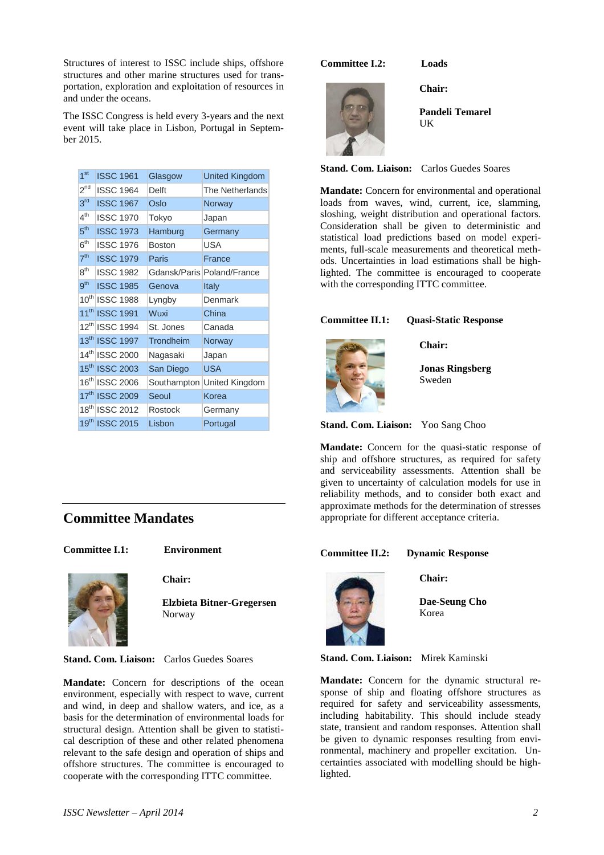Structures of interest to ISSC include ships, offshore structures and other marine structures used for transportation, exploration and exploitation of resources in and under the oceans.

The ISSC Congress is held every 3-years and the next event will take place in Lisbon, Portugal in September 2015.

| 1 <sup>st</sup> | <b>ISSC 1961</b>           | Glasgow       | <b>United Kingdom</b>      |
|-----------------|----------------------------|---------------|----------------------------|
| $2^{nd}$        | <b>ISSC 1964</b>           | Delft         | The Netherlands            |
| 3 <sup>rd</sup> | <b>ISSC 1967</b>           | Oslo          | Norway                     |
| 4 <sup>th</sup> | <b>ISSC 1970</b>           | Tokyo         | Japan                      |
| 5 <sup>th</sup> | <b>ISSC 1973</b>           | Hamburg       | Germany                    |
| 6 <sup>th</sup> | <b>ISSC 1976</b>           | <b>Boston</b> | <b>USA</b>                 |
| 7 <sup>th</sup> | <b>ISSC 1979</b>           | Paris         | France                     |
| 8 <sup>th</sup> | <b>ISSC 1982</b>           |               | Gdansk/Paris Poland/France |
| 9 <sup>th</sup> | <b>ISSC 1985</b>           | Genova        | Italy                      |
|                 | 10th ISSC 1988             | Lyngby        | Denmark                    |
|                 | 11 <sup>th</sup> ISSC 1991 | Wuxi          | China                      |
|                 | 12th ISSC 1994             | St. Jones     | Canada                     |
|                 | 13th ISSC 1997             | Trondheim     | Norway                     |
|                 | 14th ISSC 2000             | Nagasaki      | Japan                      |
|                 | 15th ISSC 2003             | San Diego     | <b>USA</b>                 |
|                 | 16th ISSC 2006             | Southampton   | United Kingdom             |
|                 | 17th ISSC 2009             | Seoul         | Korea                      |
|                 | 18th ISSC 2012             | Rostock       | Germany                    |
|                 | 19th ISSC 2015             | Lisbon        | Portugal                   |

# **Committee Mandates**

**Committee I.1: Environment** 



**Chair:** 

**Elzbieta Bitner-Gregersen**  Norway

**Stand. Com. Liaison:** Carlos Guedes Soares

**Mandate:** Concern for descriptions of the ocean environment, especially with respect to wave, current and wind, in deep and shallow waters, and ice, as a basis for the determination of environmental loads for structural design. Attention shall be given to statistical description of these and other related phenomena relevant to the safe design and operation of ships and offshore structures. The committee is encouraged to cooperate with the corresponding ITTC committee.

#### **Committee I.2: Loads**

**Chair:** 



**Pandeli Temarel IK** 

**Stand. Com. Liaison:** Carlos Guedes Soares

**Mandate:** Concern for environmental and operational loads from waves, wind, current, ice, slamming, sloshing, weight distribution and operational factors. Consideration shall be given to deterministic and statistical load predictions based on model experiments, full-scale measurements and theoretical methods. Uncertainties in load estimations shall be highlighted. The committee is encouraged to cooperate with the corresponding ITTC committee.

# **Committee II.1: Quasi-Static Response**



**Chair:** 

**Jonas Ringsberg**  Sweden

**Stand. Com. Liaison:** Yoo Sang Choo

**Mandate:** Concern for the quasi-static response of ship and offshore structures, as required for safety and serviceability assessments. Attention shall be given to uncertainty of calculation models for use in reliability methods, and to consider both exact and approximate methods for the determination of stresses appropriate for different acceptance criteria.

# **Committee II.2: Dynamic Response**



**Chair:** 

**Dae-Seung Cho**  Korea

#### **Stand. Com. Liaison:** Mirek Kaminski

**Mandate:** Concern for the dynamic structural response of ship and floating offshore structures as required for safety and serviceability assessments, including habitability. This should include steady state, transient and random responses. Attention shall be given to dynamic responses resulting from environmental, machinery and propeller excitation. Uncertainties associated with modelling should be highlighted.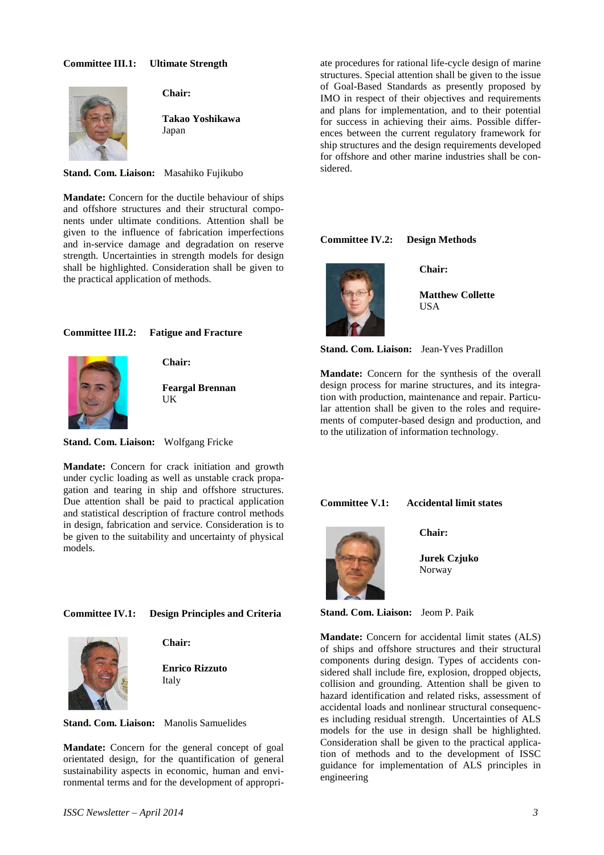#### **Committee III.1: Ultimate Strength**



**Chair:** 

**Takao Yoshikawa**  Japan

**Stand. Com. Liaison:** Masahiko Fujikubo

**Mandate:** Concern for the ductile behaviour of ships and offshore structures and their structural components under ultimate conditions. Attention shall be given to the influence of fabrication imperfections and in-service damage and degradation on reserve strength. Uncertainties in strength models for design shall be highlighted. Consideration shall be given to the practical application of methods.

#### **Committee III.2: Fatigue and Fracture**



**Chair:** 

**Feargal Brennan**  UK

**Stand. Com. Liaison:** Wolfgang Fricke

**Mandate:** Concern for crack initiation and growth under cyclic loading as well as unstable crack propagation and tearing in ship and offshore structures. Due attention shall be paid to practical application and statistical description of fracture control methods in design, fabrication and service. Consideration is to be given to the suitability and uncertainty of physical models.

#### **Committee IV.1: Design Principles and Criteria**



**Chair:** 

**Enrico Rizzuto**  Italy

**Stand. Com. Liaison:** Manolis Samuelides

**Mandate:** Concern for the general concept of goal orientated design, for the quantification of general sustainability aspects in economic, human and environmental terms and for the development of appropriate procedures for rational life-cycle design of marine structures. Special attention shall be given to the issue of Goal-Based Standards as presently proposed by IMO in respect of their objectives and requirements and plans for implementation, and to their potential for success in achieving their aims. Possible differences between the current regulatory framework for ship structures and the design requirements developed for offshore and other marine industries shall be considered.

# **Committee IV.2: Design Methods**



**Chair:** 

**Matthew Collette IISA** 

**Stand. Com. Liaison:** Jean-Yves Pradillon

**Mandate:** Concern for the synthesis of the overall design process for marine structures, and its integration with production, maintenance and repair. Particular attention shall be given to the roles and requirements of computer-based design and production, and to the utilization of information technology.

**Committee V.1: Accidental limit states** 

**Chair:** 



**Jurek Czjuko** 

Norway

**Stand. Com. Liaison:** Jeom P. Paik

**Mandate:** Concern for accidental limit states (ALS) of ships and offshore structures and their structural components during design. Types of accidents considered shall include fire, explosion, dropped objects, collision and grounding. Attention shall be given to hazard identification and related risks, assessment of accidental loads and nonlinear structural consequences including residual strength. Uncertainties of ALS models for the use in design shall be highlighted. Consideration shall be given to the practical application of methods and to the development of ISSC guidance for implementation of ALS principles in engineering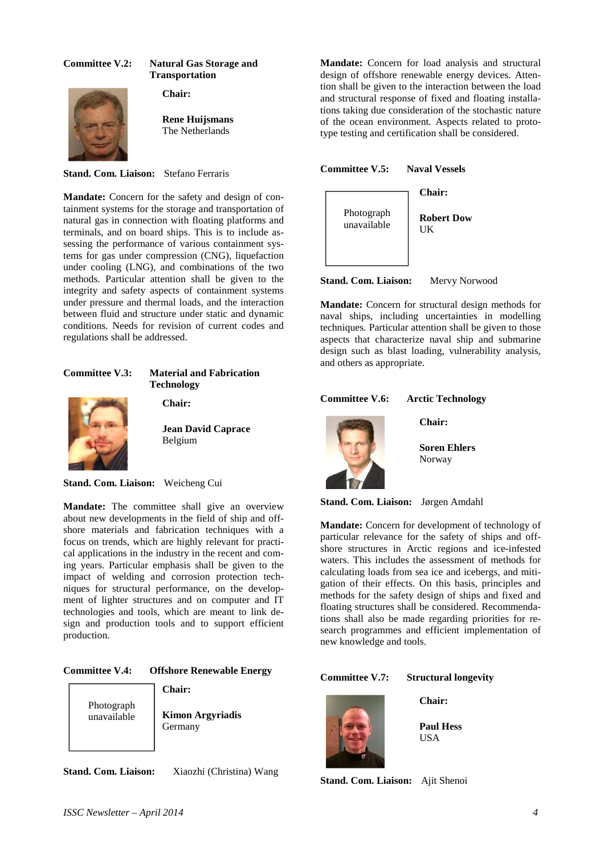# **Committee V.2: Natural Gas Storage and Transportation**

**Chair:** 



**Rene Huijsmans**  The Netherlands

**Stand. Com. Liaison:** Stefano Ferraris

**Mandate:** Concern for the safety and design of containment systems for the storage and transportation of natural gas in connection with floating platforms and terminals, and on board ships. This is to include assessing the performance of various containment systems for gas under compression (CNG), liquefaction under cooling (LNG), and combinations of the two methods. Particular attention shall be given to the integrity and safety aspects of containment systems under pressure and thermal loads, and the interaction between fluid and structure under static and dynamic conditions. Needs for revision of current codes and regulations shall be addressed.

# **Committee V.3: Material and Fabrication Technology**



**Chair:** 

**Jean David Caprace**  Belgium

**Stand. Com. Liaison:** Weicheng Cui

**Mandate:** The committee shall give an overview about new developments in the field of ship and offshore materials and fabrication techniques with a focus on trends, which are highly relevant for practical applications in the industry in the recent and coming years. Particular emphasis shall be given to the impact of welding and corrosion protection techniques for structural performance, on the development of lighter structures and on computer and IT technologies and tools, which are meant to link design and production tools and to support efficient production.

# **Committee V.4: Offshore Renewable Energy**

**Chair:** 



**Kimon Argyriadis**  Germany

**Stand. Com. Liaison:** Xiaozhi (Christina) Wang

**Mandate:** Concern for load analysis and structural design of offshore renewable energy devices. Attention shall be given to the interaction between the load and structural response of fixed and floating installations taking due consideration of the stochastic nature of the ocean environment. Aspects related to prototype testing and certification shall be considered.

#### **Committee V.5: Naval Vessels**



**Stand. Com. Liaison:** Mervy Norwood

**Mandate:** Concern for structural design methods for naval ships, including uncertainties in modelling techniques. Particular attention shall be given to those aspects that characterize naval ship and submarine design such as blast loading, vulnerability analysis, and others as appropriate.

# **Committee V.6: Arctic Technology**

**Chair:** 



**Soren Ehlers** 

Norway

**Stand. Com. Liaison:** Jørgen Amdahl

**Mandate:** Concern for development of technology of particular relevance for the safety of ships and offshore structures in Arctic regions and ice-infested waters. This includes the assessment of methods for calculating loads from sea ice and icebergs, and mitigation of their effects. On this basis, principles and methods for the safety design of ships and fixed and floating structures shall be considered. Recommendations shall also be made regarding priorities for research programmes and efficient implementation of new knowledge and tools.

# **Committee V.7: Structural longevity**



**Chair:** 

**Paul Hess**  USA

**Stand. Com. Liaison:** Ajit Shenoi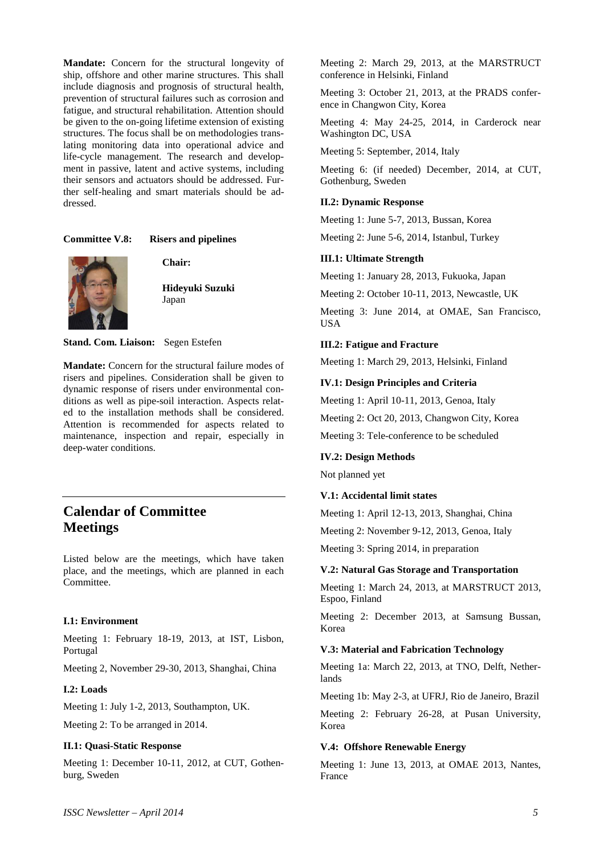**Mandate:** Concern for the structural longevity of ship, offshore and other marine structures. This shall include diagnosis and prognosis of structural health, prevention of structural failures such as corrosion and fatigue, and structural rehabilitation. Attention should be given to the on-going lifetime extension of existing structures. The focus shall be on methodologies translating monitoring data into operational advice and life-cycle management. The research and development in passive, latent and active systems, including their sensors and actuators should be addressed. Further self-healing and smart materials should be addressed.

# **Committee V.8: Risers and pipelines**



**Chair:** 

**Hideyuki Suzuki**  Japan

**Stand. Com. Liaison:** Segen Estefen

**Mandate:** Concern for the structural failure modes of risers and pipelines. Consideration shall be given to dynamic response of risers under environmental conditions as well as pipe-soil interaction. Aspects related to the installation methods shall be considered. Attention is recommended for aspects related to maintenance, inspection and repair, especially in deep-water conditions.

# **Calendar of Committee Meetings**

Listed below are the meetings, which have taken place, and the meetings, which are planned in each Committee.

#### **I.1: Environment**

Meeting 1: February 18-19, 2013, at IST, Lisbon, Portugal

Meeting 2, November 29-30, 2013, Shanghai, China

#### **I.2: Loads**

Meeting 1: July 1-2, 2013, Southampton, UK.

Meeting 2: To be arranged in 2014.

#### **II.1: Quasi-Static Response**

Meeting 1: December 10-11, 2012, at CUT, Gothenburg, Sweden

Meeting 2: March 29, 2013, at the MARSTRUCT conference in Helsinki, Finland

Meeting 3: October 21, 2013, at the PRADS conference in Changwon City, Korea

Meeting 4: May 24-25, 2014, in Carderock near Washington DC, USA

Meeting 5: September, 2014, Italy

Meeting 6: (if needed) December, 2014, at CUT, Gothenburg, Sweden

#### **II.2: Dynamic Response**

Meeting 1: June 5-7, 2013, Bussan, Korea

Meeting 2: June 5-6, 2014, Istanbul, Turkey

#### **III.1: Ultimate Strength**

Meeting 1: January 28, 2013, Fukuoka, Japan

Meeting 2: October 10-11, 2013, Newcastle, UK

Meeting 3: June 2014, at OMAE, San Francisco, USA

#### **III.2: Fatigue and Fracture**

Meeting 1: March 29, 2013, Helsinki, Finland

## **IV.1: Design Principles and Criteria**

Meeting 1: April 10-11, 2013, Genoa, Italy

Meeting 2: Oct 20, 2013, Changwon City, Korea

Meeting 3: Tele-conference to be scheduled

#### **IV.2: Design Methods**

Not planned yet

#### **V.1: Accidental limit states**

Meeting 1: April 12-13, 2013, Shanghai, China

Meeting 2: November 9-12, 2013, Genoa, Italy

Meeting 3: Spring 2014, in preparation

#### **V.2: Natural Gas Storage and Transportation**

Meeting 1: March 24, 2013, at MARSTRUCT 2013, Espoo, Finland

Meeting 2: December 2013, at Samsung Bussan, Korea

# **V.3: Material and Fabrication Technology**

Meeting 1a: March 22, 2013, at TNO, Delft, Netherlands

Meeting 1b: May 2-3, at UFRJ, Rio de Janeiro, Brazil

Meeting 2: February 26-28, at Pusan University, Korea

#### **V.4: Offshore Renewable Energy**

Meeting 1: June 13, 2013, at OMAE 2013, Nantes, France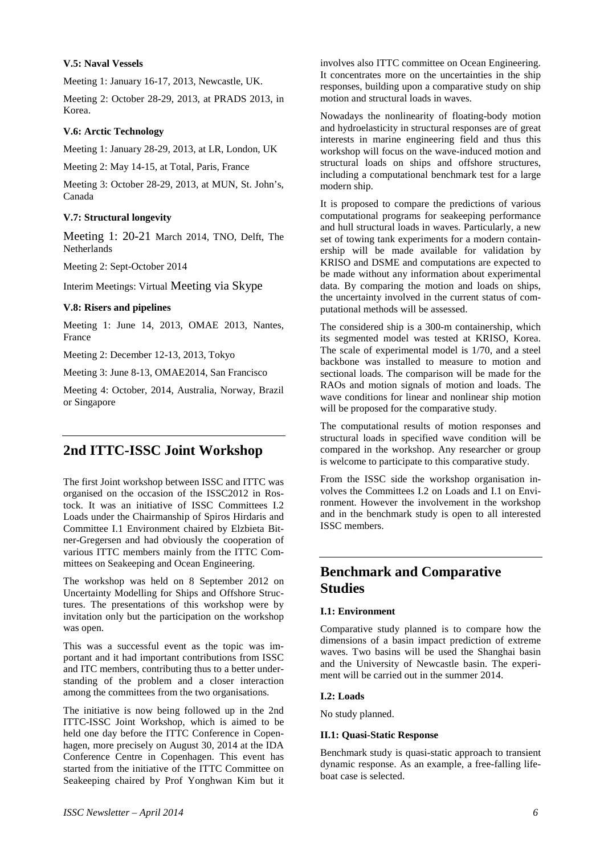# **V.5: Naval Vessels**

Meeting 1: January 16-17, 2013, Newcastle, UK.

Meeting 2: October 28-29, 2013, at PRADS 2013, in Korea.

# **V.6: Arctic Technology**

Meeting 1: January 28-29, 2013, at LR, London, UK

Meeting 2: May 14-15, at Total, Paris, France

Meeting 3: October 28-29, 2013, at MUN, St. John's, Canada

# **V.7: Structural longevity**

Meeting 1: 20-21 March 2014, TNO, Delft, The **Netherlands** 

Meeting 2: Sept-October 2014

Interim Meetings: Virtual Meeting via Skype

# **V.8: Risers and pipelines**

Meeting 1: June 14, 2013, OMAE 2013, Nantes, France

Meeting 2: December 12-13, 2013, Tokyo

Meeting 3: June 8-13, OMAE2014, San Francisco

Meeting 4: October, 2014, Australia, Norway, Brazil or Singapore

# **2nd ITTC-ISSC Joint Workshop**

The first Joint workshop between ISSC and ITTC was organised on the occasion of the ISSC2012 in Rostock. It was an initiative of ISSC Committees I.2 Loads under the Chairmanship of Spiros Hirdaris and Committee I.1 Environment chaired by Elzbieta Bitner-Gregersen and had obviously the cooperation of various ITTC members mainly from the ITTC Committees on Seakeeping and Ocean Engineering.

The workshop was held on 8 September 2012 on Uncertainty Modelling for Ships and Offshore Structures. The presentations of this workshop were by invitation only but the participation on the workshop was open.

This was a successful event as the topic was important and it had important contributions from ISSC and ITC members, contributing thus to a better understanding of the problem and a closer interaction among the committees from the two organisations.

The initiative is now being followed up in the 2nd ITTC-ISSC Joint Workshop, which is aimed to be held one day before the ITTC Conference in Copenhagen, more precisely on August 30, 2014 at the IDA Conference Centre in Copenhagen. This event has started from the initiative of the ITTC Committee on Seakeeping chaired by Prof Yonghwan Kim but it involves also ITTC committee on Ocean Engineering. It concentrates more on the uncertainties in the ship responses, building upon a comparative study on ship motion and structural loads in waves.

Nowadays the nonlinearity of floating-body motion and hydroelasticity in structural responses are of great interests in marine engineering field and thus this workshop will focus on the wave-induced motion and structural loads on ships and offshore structures, including a computational benchmark test for a large modern ship.

It is proposed to compare the predictions of various computational programs for seakeeping performance and hull structural loads in waves. Particularly, a new set of towing tank experiments for a modern containership will be made available for validation by KRISO and DSME and computations are expected to be made without any information about experimental data. By comparing the motion and loads on ships, the uncertainty involved in the current status of computational methods will be assessed.

The considered ship is a 300-m containership, which its segmented model was tested at KRISO, Korea. The scale of experimental model is 1/70, and a steel backbone was installed to measure to motion and sectional loads. The comparison will be made for the RAOs and motion signals of motion and loads. The wave conditions for linear and nonlinear ship motion will be proposed for the comparative study.

The computational results of motion responses and structural loads in specified wave condition will be compared in the workshop. Any researcher or group is welcome to participate to this comparative study.

From the ISSC side the workshop organisation involves the Committees I.2 on Loads and I.1 on Environment. However the involvement in the workshop and in the benchmark study is open to all interested ISSC members.

# **Benchmark and Comparative Studies**

# **I.1: Environment**

Comparative study planned is to compare how the dimensions of a basin impact prediction of extreme waves. Two basins will be used the Shanghai basin and the University of Newcastle basin. The experiment will be carried out in the summer 2014.

# **I.2: Loads**

No study planned.

# **II.1: Quasi-Static Response**

Benchmark study is quasi-static approach to transient dynamic response. As an example, a free-falling lifeboat case is selected.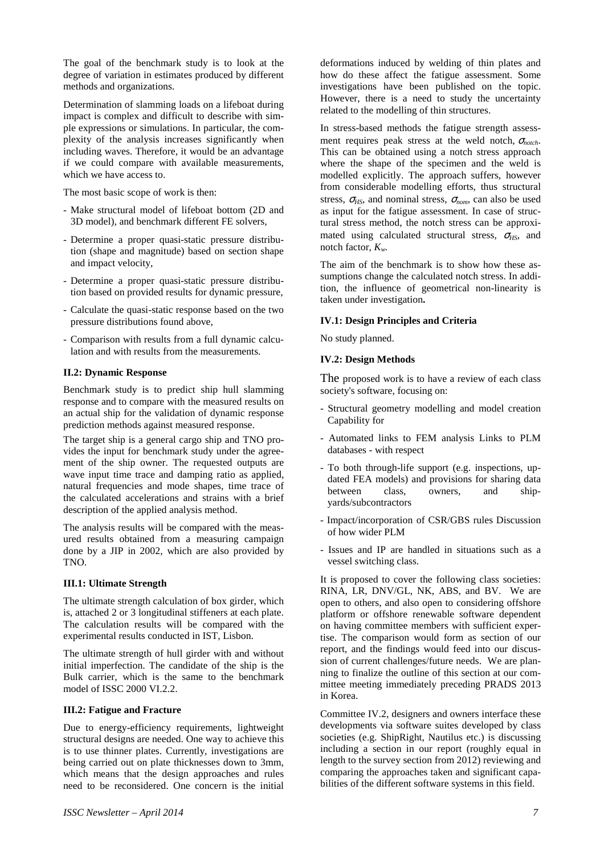The goal of the benchmark study is to look at the degree of variation in estimates produced by different methods and organizations.

Determination of slamming loads on a lifeboat during impact is complex and difficult to describe with simple expressions or simulations. In particular, the complexity of the analysis increases significantly when including waves. Therefore, it would be an advantage if we could compare with available measurements, which we have access to.

The most basic scope of work is then:

- Make structural model of lifeboat bottom (2D and 3D model), and benchmark different FE solvers,
- Determine a proper quasi-static pressure distribution (shape and magnitude) based on section shape and impact velocity,
- Determine a proper quasi-static pressure distribution based on provided results for dynamic pressure,
- Calculate the quasi-static response based on the two pressure distributions found above,
- Comparison with results from a full dynamic calculation and with results from the measurements.

# **II.2: Dynamic Response**

Benchmark study is to predict ship hull slamming response and to compare with the measured results on an actual ship for the validation of dynamic response prediction methods against measured response.

The target ship is a general cargo ship and TNO provides the input for benchmark study under the agreement of the ship owner. The requested outputs are wave input time trace and damping ratio as applied, natural frequencies and mode shapes, time trace of the calculated accelerations and strains with a brief description of the applied analysis method.

The analysis results will be compared with the measured results obtained from a measuring campaign done by a JIP in 2002, which are also provided by TNO.

#### **III.1: Ultimate Strength**

The ultimate strength calculation of box girder, which is, attached 2 or 3 longitudinal stiffeners at each plate. The calculation results will be compared with the experimental results conducted in IST, Lisbon.

The ultimate strength of hull girder with and without initial imperfection. The candidate of the ship is the Bulk carrier, which is the same to the benchmark model of ISSC 2000 VI.2.2.

# **III.2: Fatigue and Fracture**

Due to energy-efficiency requirements, lightweight structural designs are needed. One way to achieve this is to use thinner plates. Currently, investigations are being carried out on plate thicknesses down to 3mm, which means that the design approaches and rules need to be reconsidered. One concern is the initial

deformations induced by welding of thin plates and how do these affect the fatigue assessment. Some investigations have been published on the topic. However, there is a need to study the uncertainty related to the modelling of thin structures.

In stress-based methods the fatigue strength assessment requires peak stress at the weld notch,  $\sigma_{\text{notch}}$ . This can be obtained using a notch stress approach where the shape of the specimen and the weld is modelled explicitly. The approach suffers, however from considerable modelling efforts, thus structural stress,  $\sigma$ <sub>HS</sub>, and nominal stress,  $\sigma$ <sub>nom</sub>, can also be used as input for the fatigue assessment. In case of structural stress method, the notch stress can be approximated using calculated structural stress,  $\sigma_{\text{HSS}}$ , and notch factor, *Kw.*

The aim of the benchmark is to show how these assumptions change the calculated notch stress. In addition, the influence of geometrical non-linearity is taken under investigation**.** 

#### **IV.1: Design Principles and Criteria**

No study planned.

#### **IV.2: Design Methods**

The proposed work is to have a review of each class society's software, focusing on:

- Structural geometry modelling and model creation Capability for
- Automated links to FEM analysis Links to PLM databases - with respect
- To both through-life support (e.g. inspections, updated FEA models) and provisions for sharing data between class, owners, and shipyards/subcontractors
- Impact/incorporation of CSR/GBS rules Discussion of how wider PLM
- Issues and IP are handled in situations such as a vessel switching class.

It is proposed to cover the following class societies: RINA, LR, DNV/GL, NK, ABS, and BV. We are open to others, and also open to considering offshore platform or offshore renewable software dependent on having committee members with sufficient expertise. The comparison would form as section of our report, and the findings would feed into our discussion of current challenges/future needs. We are planning to finalize the outline of this section at our committee meeting immediately preceding PRADS 2013 in Korea.

Committee IV.2, designers and owners interface these developments via software suites developed by class societies (e.g. ShipRight, Nautilus etc.) is discussing including a section in our report (roughly equal in length to the survey section from 2012) reviewing and comparing the approaches taken and significant capabilities of the different software systems in this field.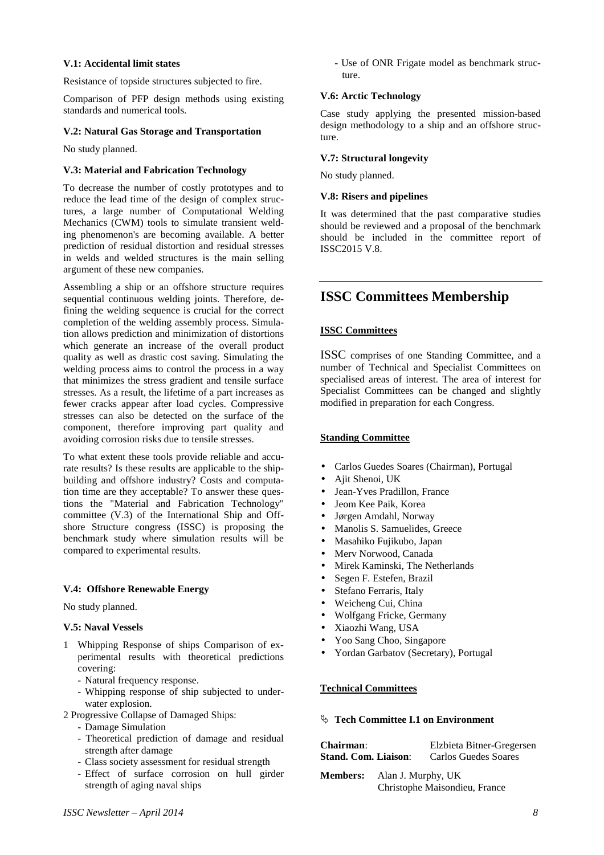#### **V.1: Accidental limit states**

Resistance of topside structures subjected to fire.

Comparison of PFP design methods using existing standards and numerical tools.

#### **V.2: Natural Gas Storage and Transportation**

No study planned.

#### **V.3: Material and Fabrication Technology**

To decrease the number of costly prototypes and to reduce the lead time of the design of complex structures, a large number of Computational Welding Mechanics (CWM) tools to simulate transient welding phenomenon's are becoming available. A better prediction of residual distortion and residual stresses in welds and welded structures is the main selling argument of these new companies.

Assembling a ship or an offshore structure requires sequential continuous welding joints. Therefore, defining the welding sequence is crucial for the correct completion of the welding assembly process. Simulation allows prediction and minimization of distortions which generate an increase of the overall product quality as well as drastic cost saving. Simulating the welding process aims to control the process in a way that minimizes the stress gradient and tensile surface stresses. As a result, the lifetime of a part increases as fewer cracks appear after load cycles. Compressive stresses can also be detected on the surface of the component, therefore improving part quality and avoiding corrosion risks due to tensile stresses.

To what extent these tools provide reliable and accurate results? Is these results are applicable to the shipbuilding and offshore industry? Costs and computation time are they acceptable? To answer these questions the "Material and Fabrication Technology" committee (V.3) of the International Ship and Offshore Structure congress (ISSC) is proposing the benchmark study where simulation results will be compared to experimental results.

# **V.4: Offshore Renewable Energy**

No study planned.

# **V.5: Naval Vessels**

- 1 Whipping Response of ships Comparison of experimental results with theoretical predictions covering:
	- Natural frequency response.
	- Whipping response of ship subjected to underwater explosion.
- 2 Progressive Collapse of Damaged Ships:
	- Damage Simulation
	- Theoretical prediction of damage and residual strength after damage
	- Class society assessment for residual strength
	- Effect of surface corrosion on hull girder strength of aging naval ships

- Use of ONR Frigate model as benchmark structure.

# **V.6: Arctic Technology**

Case study applying the presented mission-based design methodology to a ship and an offshore structure.

# **V.7: Structural longevity**

No study planned.

# **V.8: Risers and pipelines**

It was determined that the past comparative studies should be reviewed and a proposal of the benchmark should be included in the committee report of ISSC2015 V.8.

# **ISSC Committees Membership**

# **ISSC Committees**

ISSC comprises of one Standing Committee, and a number of Technical and Specialist Committees on specialised areas of interest. The area of interest for Specialist Committees can be changed and slightly modified in preparation for each Congress.

# **Standing Committee**

- Carlos Guedes Soares (Chairman), Portugal
- Ajit Shenoi, UK
- Jean-Yves Pradillon, France
- Jeom Kee Paik, Korea
- Jørgen Amdahl, Norway
- Manolis S. Samuelides, Greece
- Masahiko Fujikubo, Japan
- Merv Norwood, Canada
- Mirek Kaminski, The Netherlands
- Segen F. Estefen, Brazil
- Stefano Ferraris, Italy
- Weicheng Cui, China
- Wolfgang Fricke, Germany
- Xiaozhi Wang, USA
- Yoo Sang Choo, Singapore
- Yordan Garbatov (Secretary), Portugal

# **Technical Committees**

#### **Tech Committee I.1 on Environment**

| <b>Chairman:</b>              | Elzbieta Bitner-Gregersen |
|-------------------------------|---------------------------|
| <b>Stand. Com. Liaison:</b>   | Carlos Guedes Soares      |
| Alon I Murphy IIV<br>Momborc. |                           |

**Members:** Alan J. Murphy, UK Christophe Maisondieu, France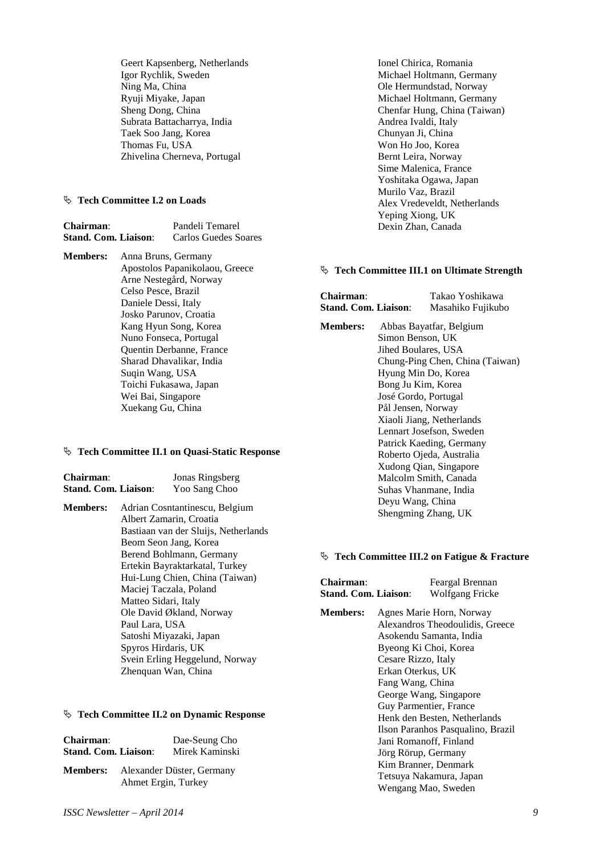Geert Kapsenberg, Netherlands Igor Rychlik, Sweden Ning Ma, China Ryuji Miyake, Japan Sheng Dong, China Subrata Battacharrya, India Taek Soo Jang, Korea Thomas Fu, USA Zhivelina Cherneva, Portugal

# **Tech Committee I.2 on Loads**

| <b>Chairman:</b>     |                          | Pandeli Temarel                |  |
|----------------------|--------------------------|--------------------------------|--|
| Stand. Com. Liaison: |                          | Carlos Guedes Soares           |  |
| <b>Members:</b>      | Anna Bruns, Germany      |                                |  |
|                      |                          | Apostolos Papanikolaou, Greece |  |
|                      |                          | Arne Nestegård, Norway         |  |
|                      | Celso Pesce, Brazil      |                                |  |
|                      | Daniele Dessi, Italy     |                                |  |
|                      |                          | Josko Parunov, Croatia         |  |
|                      | Kang Hyun Song, Korea    |                                |  |
|                      | Nuno Fonseca, Portugal   |                                |  |
|                      | Quentin Derbanne, France |                                |  |
|                      | Sharad Dhavalikar, India |                                |  |
|                      | Sugin Wang, USA          |                                |  |

# **Tech Committee II.1 on Quasi-Static Response**

 Toichi Fukasawa, Japan Wei Bai, Singapore Xuekang Gu, China

| <b>Chairman:</b>            | Jonas Ringsberg |
|-----------------------------|-----------------|
| <b>Stand. Com. Liaison:</b> | Yoo Sang Choo   |

**Members:** Adrian Cosntantinescu, Belgium Albert Zamarin, Croatia Bastiaan van der Sluijs, Netherlands Beom Seon Jang, Korea Berend Bohlmann, Germany Ertekin Bayraktarkatal, Turkey Hui-Lung Chien, China (Taiwan) Maciej Taczala, Poland Matteo Sidari, Italy Ole David Økland, Norway Paul Lara, USA Satoshi Miyazaki, Japan Spyros Hirdaris, UK Svein Erling Heggelund, Norway Zhenquan Wan, China

#### **Tech Committee II.2 on Dynamic Response**

| <b>Chairman:</b><br><b>Stand. Com. Liaison:</b> |                                                  | Dae-Seung Cho<br>Mirek Kaminski |
|-------------------------------------------------|--------------------------------------------------|---------------------------------|
| <b>Members:</b>                                 | Alexander Düster, Germany<br>Ahmet Ergin, Turkey |                                 |

 Ionel Chirica, Romania Michael Holtmann, Germany Ole Hermundstad, Norway Michael Holtmann, Germany Chenfar Hung, China (Taiwan) Andrea Ivaldi, Italy Chunyan Ji, China Won Ho Joo, Korea Bernt Leira, Norway Sime Malenica, France Yoshitaka Ogawa, Japan Murilo Vaz, Brazil Alex Vredeveldt, Netherlands Yeping Xiong, UK Dexin Zhan, Canada

#### **Tech Committee III.1 on Ultimate Strength**

| <b>Chairman:</b>            | Takao Yoshikawa   |
|-----------------------------|-------------------|
| <b>Stand. Com. Liaison:</b> | Masahiko Fujikubo |

| <b>Members:</b> | Abbas Bayatfar, Belgium                   |  |
|-----------------|-------------------------------------------|--|
|                 | Simon Benson, UK                          |  |
|                 | Jihed Boulares, USA                       |  |
|                 | Chung-Ping Chen, China (Taiwan)           |  |
|                 | Hyung Min Do, Korea<br>Bong Ju Kim, Korea |  |
|                 |                                           |  |
|                 | José Gordo, Portugal                      |  |
|                 | Pål Jensen, Norway                        |  |
|                 | Xiaoli Jiang, Netherlands                 |  |
|                 | Lennart Josefson, Sweden                  |  |
|                 | Patrick Kaeding, Germany                  |  |
|                 | Roberto Ojeda, Australia                  |  |
|                 | Xudong Qian, Singapore                    |  |
|                 | Malcolm Smith, Canada                     |  |
|                 | Suhas Vhanmane, India                     |  |
|                 | Deyu Wang, China                          |  |
|                 | Shengming Zhang, UK                       |  |
|                 |                                           |  |

#### **Tech Committee III.2 on Fatigue & Fracture**

| Chairman:<br><b>Stand. Com. Liaison:</b> |                                                                                                                                                                                                                                                                     | Feargal Brennan<br>Wolfgang Fricke                                                                                                    |
|------------------------------------------|---------------------------------------------------------------------------------------------------------------------------------------------------------------------------------------------------------------------------------------------------------------------|---------------------------------------------------------------------------------------------------------------------------------------|
| <b>Members:</b>                          | Agnes Marie Horn, Norway<br>Alexandros Theodoulidis, Greece<br>Asokendu Samanta, India<br>Byeong Ki Choi, Korea<br>Cesare Rizzo, Italy<br>Erkan Oterkus, UK<br>Fang Wang, China<br>George Wang, Singapore<br>Guy Parmentier, France<br>Henk den Besten, Netherlands |                                                                                                                                       |
|                                          | Jörg Rörup, Germany                                                                                                                                                                                                                                                 | Ilson Paranhos Pasqualino, Brazil<br>Jani Romanoff, Finland<br>Kim Branner, Denmark<br>Tetsuya Nakamura, Japan<br>Wengang Mao, Sweden |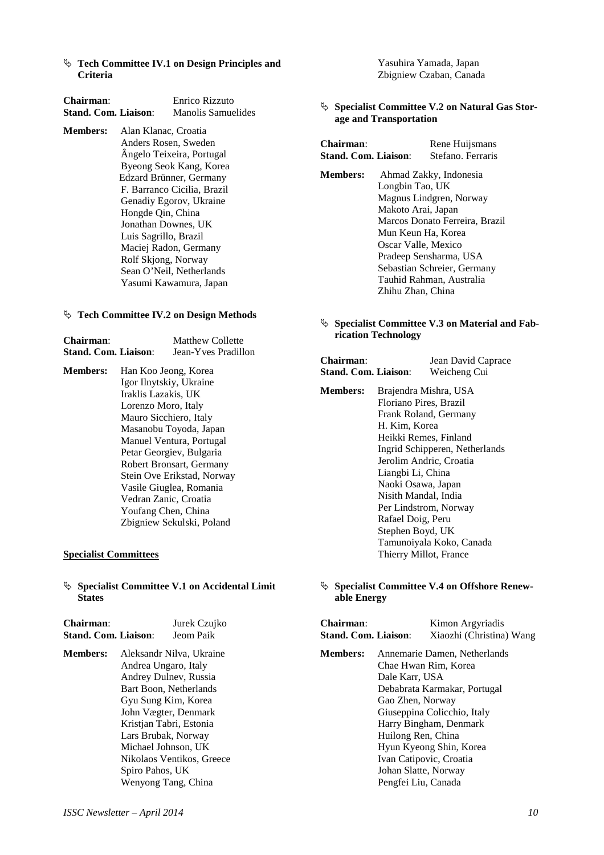**Example 5 Tech Committee IV.1 on Design Principles and Criteria** 

| <b>Chairman:</b>            |                             | Enrico Rizzuto            |  |
|-----------------------------|-----------------------------|---------------------------|--|
| <b>Stand. Com. Liaison:</b> |                             | Manolis Samuelides        |  |
| <b>Members:</b>             | Alan Klanac, Croatia        |                           |  |
|                             |                             | Anders Rosen, Sweden      |  |
|                             |                             | Ângelo Teixeira, Portugal |  |
|                             |                             | Byeong Seok Kang, Korea   |  |
|                             | Edzard Brünner, Germany     |                           |  |
|                             | F. Barranco Cicilia, Brazil |                           |  |
|                             | Genadiy Egorov, Ukraine     |                           |  |
|                             | Hongde Qin, China           |                           |  |
|                             | Jonathan Downes, UK         |                           |  |
|                             | Luis Sagrillo, Brazil       |                           |  |
|                             | Maciej Radon, Germany       |                           |  |
|                             | Rolf Skjong, Norway         |                           |  |
|                             | Sean O'Neil, Netherlands    |                           |  |
|                             | Yasumi Kawamura, Japan      |                           |  |

#### **Tech Committee IV.2 on Design Methods**

| Chairman:                   | Matthew Collette    |
|-----------------------------|---------------------|
| <b>Stand. Com. Liaison:</b> | Jean-Yves Pradillon |

**Members:** Han Koo Jeong, Korea Igor Ilnytskiy, Ukraine Iraklis Lazakis, UK Lorenzo Moro, Italy Mauro Sicchiero, Italy Masanobu Toyoda, Japan Manuel Ventura, Portugal Petar Georgiev, Bulgaria Robert Bronsart, Germany Stein Ove Erikstad, Norway Vasile Giuglea, Romania Vedran Zanic, Croatia Youfang Chen, China Zbigniew Sekulski, Poland

#### **Specialist Committees**

# **Specialist Committee V.1 on Accidental Limit States**

| <b>Chairman:</b>            | Jurek Czujko |
|-----------------------------|--------------|
| <b>Stand. Com. Liaison:</b> | Jeom Paik    |

**Members:** Aleksandr Nilva, Ukraine Andrea Ungaro, Italy Andrey Dulnev, Russia Bart Boon, Netherlands Gyu Sung Kim, Korea John Vægter, Denmark Kristjan Tabri, Estonia Lars Brubak, Norway Michael Johnson, UK Nikolaos Ventikos, Greece Spiro Pahos, UK Wenyong Tang, China

 Yasuhira Yamada, Japan Zbigniew Czaban, Canada

 **Specialist Committee V.2 on Natural Gas Storage and Transportation** 

| Chairman:<br>Stand. Com. Liaison: |                                | Rene Huijsmans<br>Stefano. Ferraris |  |
|-----------------------------------|--------------------------------|-------------------------------------|--|
| <b>Members:</b>                   |                                | Ahmad Zakky, Indonesia              |  |
| Longbin Tao, UK                   |                                |                                     |  |
|                                   | Magnus Lindgren, Norway        |                                     |  |
| Makoto Arai, Japan                |                                |                                     |  |
|                                   | Marcos Donato Ferreira, Brazil |                                     |  |
|                                   | Mun Keun Ha, Korea             |                                     |  |
| Oscar Valle, Mexico               |                                |                                     |  |
|                                   | Pradeep Sensharma, USA         |                                     |  |
|                                   |                                | Sebastian Schreier, Germany         |  |

#### **Specialist Committee V.3 on Material and Fabrication Technology**

 Tauhid Rahman, Australia Zhihu Zhan, China

# **Chairman**: Jean David Caprace **Stand. Com. Liaison**: Weicheng Cui

**Members:** Brajendra Mishra, USA Floriano Pires, Brazil Frank Roland, Germany H. Kim, Korea Heikki Remes, Finland Ingrid Schipperen, Netherlands Jerolim Andric, Croatia Liangbi Li, China Naoki Osawa, Japan Nisith Mandal, India Per Lindstrom, Norway Rafael Doig, Peru Stephen Boyd, UK Tamunoiyala Koko, Canada Thierry Millot, France

# **Specialist Committee V.4 on Offshore Renewable Energy**

| <b>Chairman:</b>            |                                                      | Kimon Argyriadis         |  |
|-----------------------------|------------------------------------------------------|--------------------------|--|
| <b>Stand. Com. Liaison:</b> |                                                      | Xiaozhi (Christina) Wang |  |
| <b>Members:</b>             | Annemarie Damen, Netherlands<br>Chae Hwan Rim, Korea |                          |  |

 Dale Karr, USA Debabrata Karmakar, Portugal Gao Zhen, Norway Giuseppina Colicchio, Italy Harry Bingham, Denmark Huilong Ren, China Hyun Kyeong Shin, Korea Ivan Catipovic, Croatia Johan Slatte, Norway Pengfei Liu, Canada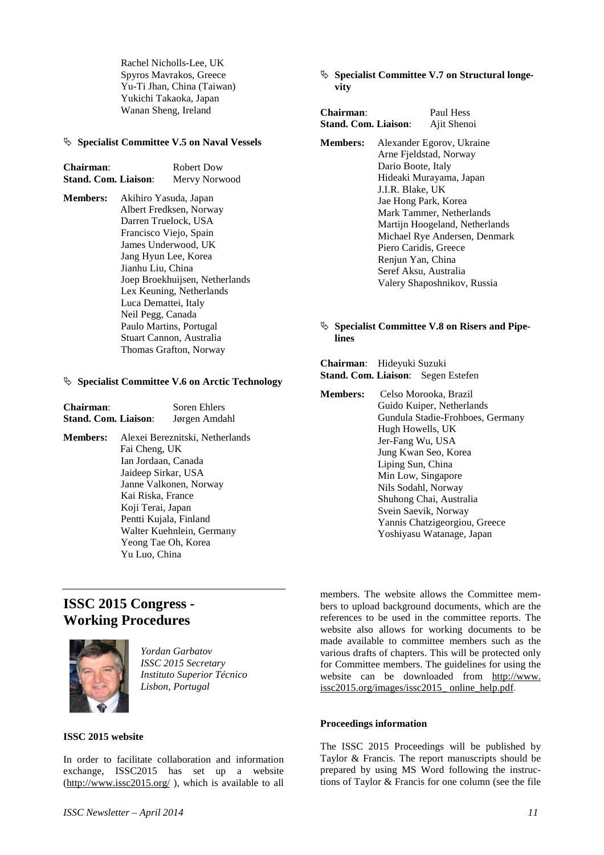Rachel Nicholls-Lee, UK Spyros Mavrakos, Greece Yu-Ti Jhan, China (Taiwan) Yukichi Takaoka, Japan Wanan Sheng, Ireland

#### **Specialist Committee V.5 on Naval Vessels**

| <b>Chairman:</b>            | Robert Dow    |
|-----------------------------|---------------|
| <b>Stand. Com. Liaison:</b> | Mervy Norwood |

**Members:** Akihiro Yasuda, Japan Albert Fredksen, Norway Darren Truelock, USA Francisco Viejo, Spain James Underwood, UK Jang Hyun Lee, Korea Jianhu Liu, China Joep Broekhuijsen, Netherlands Lex Keuning, Netherlands Luca Demattei, Italy Neil Pegg, Canada Paulo Martins, Portugal Stuart Cannon, Australia Thomas Grafton, Norway

#### **Specialist Committee V.6 on Arctic Technology**

| Chairman:<br>Stand. Com. Liaison: |                                                                                                                                                                         | <b>Soren Ehlers</b><br>Jørgen Amdahl                                                   |
|-----------------------------------|-------------------------------------------------------------------------------------------------------------------------------------------------------------------------|----------------------------------------------------------------------------------------|
| <b>Members:</b>                   | Fai Cheng, UK<br>Ian Jordaan, Canada<br>Jaideep Sirkar, USA<br>Kai Riska, France<br>Koji Terai, Japan<br>Pentti Kujala, Finland<br>Yeong Tae Oh, Korea<br>Yu Luo, China | Alexei Bereznitski, Netherlands<br>Janne Valkonen, Norway<br>Walter Kuehnlein, Germany |

# **ISSC 2015 Congress - Working Procedures**



*Yordan Garbatov ISSC 2015 Secretary Instituto Superior Técnico Lisbon, Portugal* 

# **ISSC 2015 website**

In order to facilitate collaboration and information exchange, ISSC2015 has set up a website  $(\frac{http://www.issc2015.org/}{http://www.issc2015.org/})$ , which is available to all  **Specialist Committee V.7 on Structural longevity** 

| Chairman:                   | Paul Hess                                                                                                                                                                                                                                                                                                                                             |
|-----------------------------|-------------------------------------------------------------------------------------------------------------------------------------------------------------------------------------------------------------------------------------------------------------------------------------------------------------------------------------------------------|
| <b>Stand. Com. Liaison:</b> | Ajit Shenoi                                                                                                                                                                                                                                                                                                                                           |
| <b>Members:</b>             | Alexander Egorov, Ukraine<br>Arne Fjeldstad, Norway<br>Dario Boote, Italy<br>Hideaki Murayama, Japan<br>J.I.R. Blake, UK<br>Jae Hong Park, Korea<br>Mark Tammer, Netherlands<br>Martijn Hoogeland, Netherlands<br>Michael Rye Andersen, Denmark<br>Piero Caridis, Greece<br>Renjun Yan, China<br>Seref Aksu, Australia<br>Valery Shaposhnikov, Russia |

## **Specialist Committee V.8 on Risers and Pipelines**

| <b>Chairman:</b> Hideyuki Suzuki |                                           |
|----------------------------------|-------------------------------------------|
|                                  | <b>Stand. Com. Liaison:</b> Segen Estefen |

**Members:** Celso Morooka, Brazil Guido Kuiper, Netherlands Gundula Stadie-Frohboes, Germany Hugh Howells, UK Jer-Fang Wu, USA Jung Kwan Seo, Korea Liping Sun, China Min Low, Singapore Nils Sodahl, Norway Shuhong Chai, Australia Svein Saevik, Norway Yannis Chatzigeorgiou, Greece Yoshiyasu Watanage, Japan

members. The website allows the Committee members to upload background documents, which are the references to be used in the committee reports. The website also allows for working documents to be made available to committee members such as the various drafts of chapters. This will be protected only for Committee members. The guidelines for using the website can be downloaded from http://www. issc2015.org/images/issc2015\_ online\_help.pdf.

# **Proceedings information**

The ISSC 2015 Proceedings will be published by Taylor & Francis. The report manuscripts should be prepared by using MS Word following the instructions of Taylor & Francis for one column (see the file